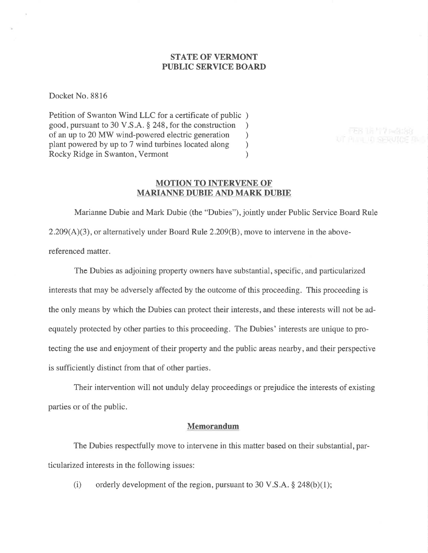# STATE OF VERMONT PUBLIC SERVICE BOARD

Docket No. 8816

Petition of Swanton Wind LLC for a certificate of public ) good, pursuant to 30 V.S.A. \$ 248, for the construction ) of an up to 20 MW wind-powered electric generation <br>plant powered by up to 7 wind turbines located along ) plant powered by up to 7 wind turbines located along <br>Rocky Ridge in Swanton, Vermont (1) Rocky Ridge in Swanton, Vermont )

UT PULLU SERUIDE RUI

## MOTION TO INTERVENE OF' MARIANNE DUBIE AND MARK DUBIE

Marianne Dubie and Mark Dubie (the "Dubies"), jointly under Public Service Board Rule 2.209(A)(3), or alternatively under Board Rule 2.209(B), move to intervene in the abovereferenced matter.

The Dubies as adjoining property owners have substantial, specific, and particularized interests that may be adversely affected by the outcome of this proceeding. This proceeding is the only means by which the Dubies can protect their interests, and these interests will not be adequately protected by other parties to this proceeding. The Dubies' interests are unique to protecting the use and enjoyment of their property and the public areas nearby, and their perspective is sufficiently distinct from that of other parties.

Their intervention will not unduly delay proceedings or prejudice the interests of existing parties or of the public.

### Memorandum

The Dubies respectfully move to intervene in this matter based on their substantial, particularized interests in the following issues:

(i) orderly development of the region, pursuant to 30 V.S.A.  $\S$  248(b)(1);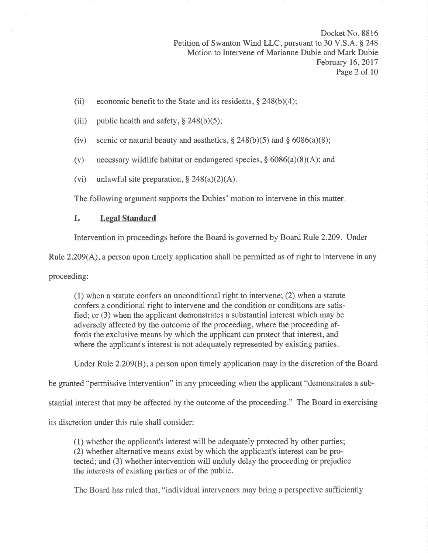Docket No. 881ó Petition of Swanton Wind LLC, pursuant to 30 V.S.A. § 248 Motion to Intervene of Marianne Dubie and Mark Dubie February 16,2017 Page 2 of 10

- (ii) economic benefit to the State and its residents,  $\S$  248(b)(4);
- (iii) public health and safety,  $\S$  248(b)(5);
- (iv) scenic or natural beauty and aesthetics,  $\S 248(b)(5)$  and  $\S 6086(a)(8)$ ;
- (v) necessary wildlife habitat or endangered species,  $\S$  6086(a)(8)(A); and
- (vi) unlawful site preparation,  $\S 248(a)(2)(A)$ .

The following argument supports the Dubies' motion to intervene in this matter.

## I. Legal Standard

Intervention in proceedings before the Board is governed by Board Rule 2.209. Under

Rule 2.209(A), a person upon timely application shall be permitted as of right to intervene in any

proceeding:

(1) when a statute confers an unconditional right to intervene; (2) when a statute confers a conditional right to intervene and the condition or conditions are satisfied; or (3) when the applicant demonstrates a substantial interest which may be adversely affected by the outcome of the proceeding, where the proceeding affords the exclusive means by which the applicant can protect that interest, and where the applicant's interest is not adequately represented by existing parties.

Under Rule 2.209(8), a person upon timely application may in the discretion of the Board

be granted "permissive intervention" in any proceeding when the applicant "demonstrates a sub-

stantial interest that may be affected by the outcome of the proceeding." The Board in exercising

its discretion under this rule shall consider:

(1) whether the applicant's interest will be adequately protected by other parties; (2) whether alternative means exist by which the applicant's interest can be protected; and (3) whether intervention will unduly delay the proceeding or prejudice the interests of existing parties or of the public.

The Board has ruled that, "individual intervenors may bring a perspective sufficiently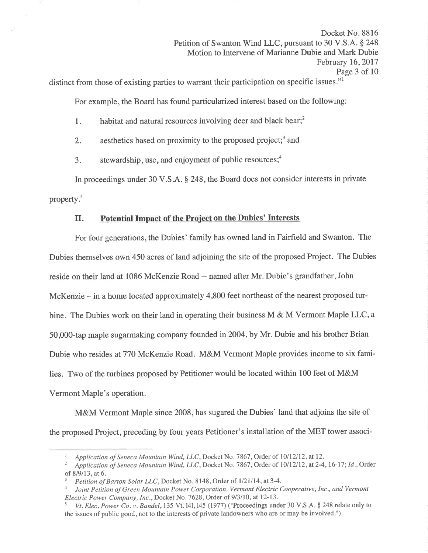Docket No. 8816 Petition of Swanton Wind LLC, pursuant to 30 V.S.A. § 248 Motion to Intervene of Marianne Dubie and Mark Dubie February 16,2017 Page 3 of 10

distinct from those of existing parties to warrant their participation on specific issues."<sup>1</sup>

For example, the Board has found paticularized interest based on the following:

- 1. habitat and natural resources involving deer and black bear;<sup>2</sup>
- 2. aesthetics based on proximity to the proposed project;<sup>3</sup> and
- 3. stewardship, use, and enjoyment of public resources; $<sup>4</sup>$ </sup>

In proceedings under 30 V.S.A. \$ 248, the Board does not consider interests in private property.<sup>5</sup>

# II. Potential Impact of the Project on the Dubies' Interests

For four generations, the Dubies' family has owned land in Fairfield and Swanton. The Dubies themselves own 450 acres of land adjoining the site of the proposed Project. The Dubies reside on their land at 1086 McKenzie Road -- named after Mr. Dubie's grandfather, John McKenzie - in a home located approximately 4,800 feet northeast of the nearest proposed turbine. The Dubies work on their land in operating their business M & M Vermont Maple LLC, a 50,000-tap maple sugarmaking company founded in 2004, by Mr. Dubie and his brother Brian Dubie who resides at770 McKenzie Road. M&M Vermont Maple provides income to six families. Two of the turbines proposed by Petitioner would be located within 100 feet of M&M Vermont Maple's operation.

M&M Vermont Maple since 2008, has sugared the Dubies' land that adjoins the site of the proposed Project, preceding by four years Petitioner's installation of the MET tower associ-

I Application of Seneca Mountain Wind, LLC, Docket No. 7867, Order of 10/12/12, at 12.<br><sup>2</sup> Application of Seneca Mountain Wind, LLC, Docket No. 7867, Order of 10/12/12, at 2-4, 16-17; Id., Order of 8/9/13, at 6.

<sup>&</sup>lt;sup>3</sup> Petition of Barton Solar LLC, Docket No. 8148, Order of 1/21/14, at 3-4.<br><sup>4</sup> Ioint Petition of Green Mountain Power Cornoration. Vermont Electric C

Joint Petition of Green Mountain Power Corporation, Vermont Electric Cooperative, Inc., and Vermont Electric Power Company, Inc., Docket No. 7628, Order of 9/3/10, at 12-13.<br><sup>5</sup> Vt. Elec. Power Co. v. Bandel, 135 Vt. 141, 145 (1977) ("Proceedings under 30 V.S.A. § 248 relate only to

the issues of public good, not to the interests of private landowners who are or may be involved.").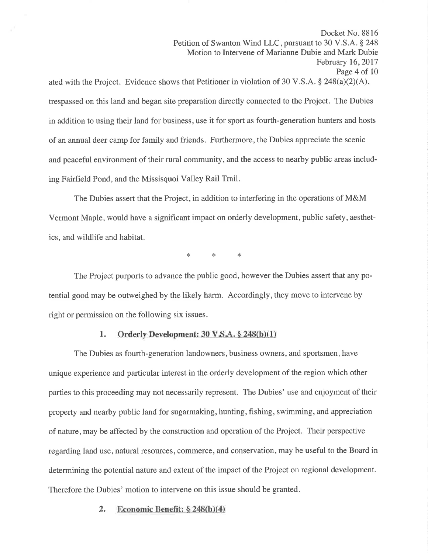Docket No. 8816 Petition of Swanton Wind LLC, pursuant to 30 V.S.A. \$ 248 Motion to Intervene of Marianne Dubie and Mark Dubie February 16,2017 Page 4 of 10 ated with the Project. Evidence shows that Petitioner in violation of 30 V.S.A.  $\S$  248(a)(2)(A), trespassed on this land and began site preparation directly connected to the Project. The Dubies

in addition to using their land for business, use it for sport as fourth-generation hunters and hosts of an annual deer camp for family and friends. Furthermore, the Dubies appreciate the scenic and peaceful environment of their rural community, and the access to nearby public areas including Fairfield Pond, and the Missisquoi Valley Rail Trail.

The Dubies assert that the Project, in addition to interfering in the operations of M&M Vermont Maple, would have a significant impact on orderly development, public safety, aesthetics, and wildlife and habitat.

\* \* \*

The Project purports to advance the public good, however the Dubies assert that any potential good may be outweighed by the likely harm. Accordingly, they move to intervene by right or permission on the following six issues.

## 1. Orderly Development:  $30 \text{ V.S.A.} \S$  248(b)(1)

The Dubies as fourth-generation landowners, business owners, and sportsmen, have unique experience and particular interest in the orderly development of the region which other parties to this proceeding may not necessarily represent. The Dubies' use and enjoyment of their property and nearby public land for sugarmaking, hunting, fishing, swimming, and appreciation of nature, may be affected by the construction and operation of the Project. Their perspective regarding land use, natural resources, commerce, and conservation, may be useful to the Board in determining the potential nature and extent of the impact of the Project on regional development. Therefore the Dubies' motion to intervene on this issue should be granted.

### 2. Economic Benefit:  $\S 248(b)(4)$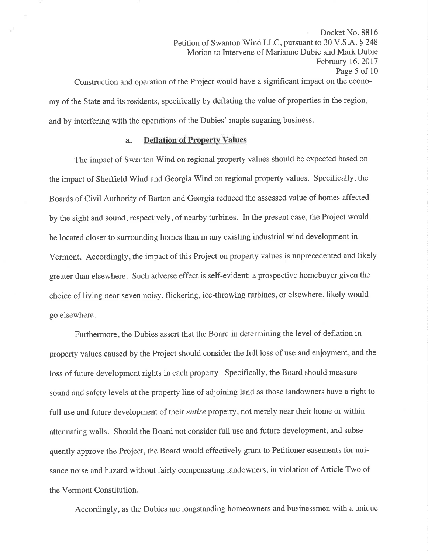Docket No. 8816 Petition of Swanton Wind LLC, pursuant to 30 V.S.A. § 248 Motion to Intervene of Marianne Dubie and Mark Dubie February 16,2017 Page 5 of 10 Construction and operation of the Project would have a significant impact on the econo-

my of the State and its residents, specifically by deflating the value of properties in the region, and by interfering with the operations of the Dubies' maple sugaring business.

### a. Deflation of Property Values

The impact of Swanton Wind on regional property values should be expected based on the impact of Sheffield Wind and Georgia Wind on regional property values. Specifically, the Boards of Civil Authority of Barton and Georgia reduced the assessed value of homes affected by the sight and sound, respectively, of nearby turbines. In the present case, the Project would be located closer to surrounding homes than in any existing industrial wind development in Vermont. Accordingly, the impact of this Project on property values is unprecedented and likely greater than elsewhere. Such adverse effect is self-evident: a prospective homebuyer given the choice of living near seven noisy, flickering, ice-throwing turbines, or elsewhere, likely would go elsewhere.

Furthermore, the Dubies assert that the Board in determining the level of deflation in property values caused by the Project should consider the full loss of use and enjoyment, and the loss of future development rights in each property. Specifically, the Board should measure sound and safety levels at the property line of adjoining land as those landowners have a right to full use and future development of their *entire* property, not merely near their home or within attenuating walls. Should the Board not consider full use and future development, and subsequently approve the Project, the Board would effectively grant to Petitioner easements for nuisance noise and hazard without fairly compensating landowners, in violation of Article Two of the Vermont Constitution.

Accordingly, as the Dubies are longstanding homeowners and businessmen with a unique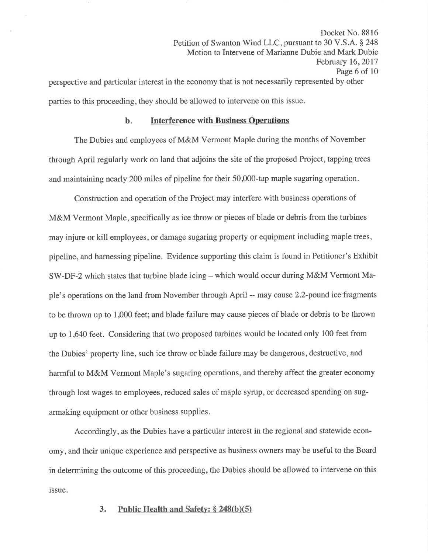Docket No. 8816 Petition of Swanton Wind LLC, pursuant to 30 V.S.A. § 248 Motion to Intervene of Marianne Dubie and Mark Dubie February 16,2017 Page 6 of 10 perspective and particular interest in the economy that is not necessarily represented by other parties to this proceeding, they should be allowed to intervene on this issue.

#### b. Interference with Business Operations

The Dubies and employees of M&M Vermont Maple during the months of November through April regularly work on land that adjoins the site of the proposed Project, tapping trees and maintaining nearly 200 miles of pipeline for their 50,000-tap maple sugaring operation.

Construction and operation of the Project may interfere with business operations of M&M Vermont Maple, specifically as ice throw or pieces of blade or debris from the turbines may injure or kill employees, or damage sugaring property or equipment including maple trees, pipeline, and harnessing pipeline. Evidence supporting this claim is found in Petitioner's Exhibit SW-DF-2 which states that turbine blade icing – which would occur during M&M Vermont Maple's operations on the land from November through April -- may cause 2.2-pound ice fragments to be thrown up to 1,000 feet; and blade failure may cause pieces of blade or debris to be thrown up to 1 ,640 feet. Considering that two proposed turbines would be located only 100 feet from the Dubies' property line, such ice throw or blade failure may be dangerous, destructive, and harmful to M&M Vermont Maple's sugaring operations, and thereby affect the greater economy through lost wages to employees, reduced sales of maple syrup, or decreased spending on sugarmaking equipment or other business supplies.

Accordingly, as the Dubies have a particular interest in the regional and statewide economy, and their unique experience and perspective as business owners may be useful to the Board in determining the outcome of this proceeding, the Dubies should be allowed to intervene on this issue.

#### 3. Public Health and Safety:  $\S$  248(b)(5)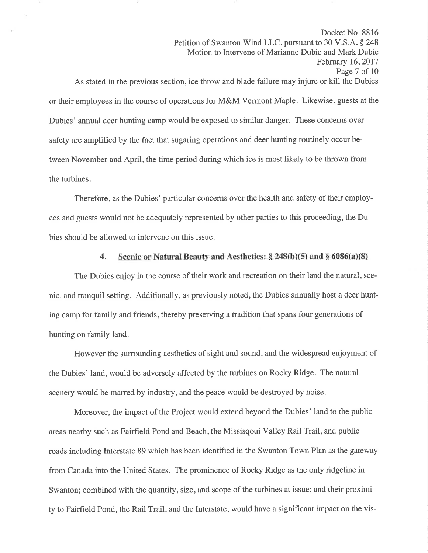Motion to Intervene of Marianne Dubie and Mark Dubie February 16,2017 Page 7 of 10 As stated in the previous section, ice throw and blade failure may injure or kill the Dubies or their employees in the course of operations for M&M Vermont Maple. Likewise, guests at the Dubies' annual deer hunting camp would be exposed to similar danger. These concerns over safety are amplified by the fact that sugaring operations and deer hunting routinely occur between November and April, the time period during which ice is most likely to be thrown from the turbines.

Docket No. 8816

Petition of Swanton Wind LLC, pursuant to 30 V.S.A. § 248

Therefore, as the Dubies' particular concerns over the health and safety of their employees and guests would not be adequately represented by other parties to this proceeding, the Dubies should be allowed to intervene on this issue.

## 4. Scenic or Natural Beauty and Aesthetics:  $\S 248(b)(5)$  and  $\S 6086(a)(8)$

The Dubies enjoy in the course of their work and recreation on their land the natural, scenic, and tranquil setting. Additionally, as previously noted, the Dubies annually host a deer hunting camp for family and friends, thereby preserving a tradition that spans four generations of hunting on family land.

However the surrounding aesthetics of sight and sound, and the widespread enjoyment of the Dubies' land, would be adversely affected by the turbines on Rocky Ridge. The natural scenery would be marred by industry, and the peace would be destroyed by noise.

Moreover, the impact of the Project would extend beyond the Dubies' land to the public areas nearby such as Fairfield Pond and Beach, the Missisqoui Valley Rail Trail, and public roads including Interstate 89 which has been identified in the Swanton Town Plan as the gateway from Canada into the United States. The prominence of Rocky Ridge as the only ridgeline in Swanton; combined with the quantity, size, and scope of the turbines at issue; and their proximity to Fairfield Pond, the Rail Trail, and the Interstate, would have a significant impact on the vis-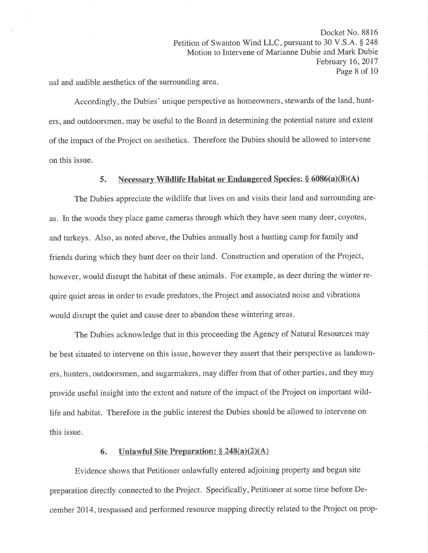Docket No. 8816 Petition of Swanton Wind LLC, pursuant to 30 V.S.A. § 248 Motion to Intervene of Marianne Dubie and Mark Dubie February 16,2017 Page 8 of 10

ual and audible aesthetics of the surrounding area.

Accordingly, the Dubies' unique perspective as homeowners, stewards of the land, hunters, and outdoorsmen, may be useful to the Board in determining the potential nature and extent of the impact of the Project on aesthetics. Therefore the Dubies should be allowed to intervene on this issue.

## 5. Necessary Wildlife Habitat or Endangered Species:  $\S 6086(a)(8)(A)$

The Dubies appreciate the wildlife that lives on and visits their land and surrounding areas. In the woods they place game cameras through which they have seen many deer, coyotes, and turkeys. Also, as noted above, the Dubies annually host a hunting camp for family and friends during which they hunt deer on their land. Construction and operation of the Project, however, would disrupt the habitat of these animals. For example, as deer during the winter require quiet areas in order to evade predators, the Project and associated noise and vibrations would disrupt the quiet and cause deer to abandon these wintering areas.

The Dubies acknowledge that in this proceeding the Agency of Natural Resources may be best situated to intervene on this issue, however they assert that their perspective as landowners, hunters, outdoorsmen, and sugarmakers, may differ from that of other parties, and they may provide useful insight into the extent and nature of the impact of the Project on important wildlife and habitat. Therefore in the public interest the Dubies should be allowed to intervene on this issue.

### 6. Unlawful Site Preparation:  $\S 248(a)(2)(A)$

Evidence shows that Petitioner unlawfully entered adjoining property and began site preparation directly connected to the Project. Specifically, Petitioner at some time before December 2014, trespassed and performed resource mapping directly related to the Project on prop-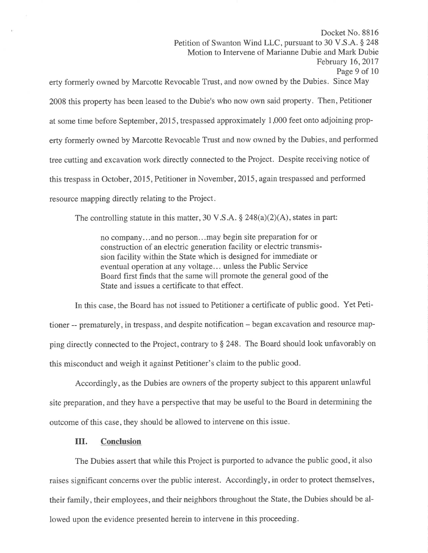Docket No. 8816 Petition of Swanton Wind LLC, pursuant to 30 V.S.A. § 248 Motion to Intervene of Marianne Dubie and Mark Dubie February 16,2017 Page 9 of l0

erty formerly owned by Marcotte Revocable Trust, and now owned by the Dubies. Since May 2008 this property has been leased to the Dubie's who now own said property. Then, Petitioner at some time before September, 2015, trespassed approximately 1,000 feet onto adjoining property formerly owned by Marcotte Revocable Trust and now owned by the Dubies, and performed tree cutting and excavation work directly connected to the Project. Despite receiving notice of this trespass in October, 2015, Petitioner in November, 2015, again trespassed and performed resource mapping directly relating to the Project

The controlling statute in this matter, 30 V.S.A.  $\S$  248(a)(2)(A), states in part:

no company...and no person...may begin site preparation for or construction of an electric generation facility or electric transmission facility within the State which is designed for immediate or eventual operation at any voltage... unless the Public Service Board first finds that the same will promote the general good of the State and issues a certificate to that effect.

In this case, the Board has not issued to Petitioner a certificate of public good. Yet Petitioner -- prematurely, in trespass, and despite notification - began excavation and resource mapping directly connected to the Project, contrary to \$ 248. The Board should look unfavorably on this misconduct and weigh it against Petitioner's claim to the public good.

Accordingly, as the Dubies are owners of the property subject to this apparent unlawful site preparation, and they have a perspective that may be useful to the Board in determining the outcome of this case, they should be allowed to intervene on this issue.

### III. Conclusion

The Dubies assert that while this Project is purported to advance the public good, it also raises significant concerns over the public interest. Accordingly, in order to protect themselves, their family, their employees, and their neighbors throughout the State, the Dubies should be allowed upon the evidence presented herein to intervene in this proceeding.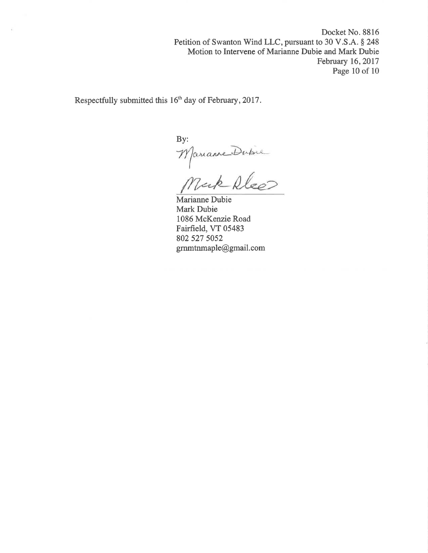Docket No. 8816 Petition of Swanton Wind LLC, pursuant to 30 V.S.A. § 248 Motion to Intervene of Marianne Dubie and Mark Dubie February 16,2017 Page 10 of 10

Respectfully submitted this 16<sup>th</sup> day of February, 2017.

By: Mariame Dubie

Marianne Dubie Mark Dubie 1086 McKenzie Road Fairfield, VT 05483 802 s27 5052 gmmtnmaple@gmail.com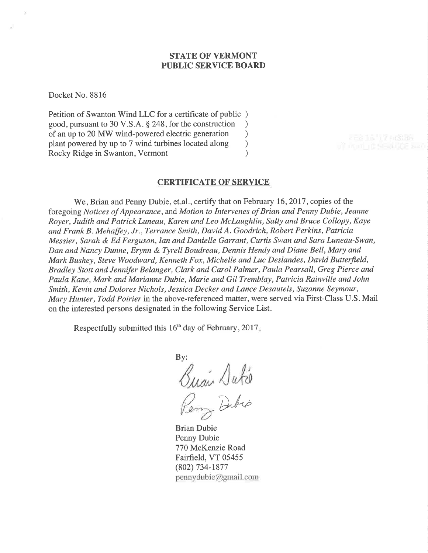## STATE OF VERMONT PUBLIC SERVICE BOARD

Docket No. 8816

Petition of Swanton Wind LLC for a certificate of public ) good, pursuant to 30 V.S.A. \$ 248, for the construction ) of an up to 20 MW wind-powered electric generation <br>plant powered by up to 7 wind turbines located along ) plant powered by up to 7 wind turbines located along ) Rocky Ridge in Swanton, Vermont (1988)

### CERTIFICATE OF SERVICE

We, Brian and Penny Dubie, et.al., certify that on February 16, 2017, copies of the foregoing Notices of Appearance, and Motion to Intervenes of Brian and Penny Dubie, Jeanne Royer, Judith and Patrick Luneau, Karen and Leo Mclaughlin, Sally and Bruce Collopy, Kaye and Frank B . Mehaffey, Jr., Terrance Smith, David A. Goodrich, Robert Perkins, Patricia Messier, Sarah & Ed Ferguson, Ian and Danielle Garrant, Curtis Swan and Sara Luneau-Swan, Dan and Nancy Dunne, Erynn & Tyrell Boudreau, Dennis Hendy and Diane Bell, Mary and Mark Bushey, Steve Woodward, Kenneth Fox, Michelle and Luc Deslandes, David Butterfíeld, Bradley Stott and Jennifer Belanger, Clark and Carol Palmer, Paula Pearsall, Greg Pierce and Paula Kane, Mark and Marianne Dubie, Marie and Gil Tremblay, Patricia Rainville and John Smith, Kevin and Dolores Nichols, Jessica Decker and Lance Desautels, Suzanne Seymour, Mary Hunter, Todd Poirier in the above-referenced matter, were served via First-Class U.S. Mail on the interested persons designated in the following Service List.

Respectfully submitted this 16<sup>th</sup> day of February, 2017.

By: Guan Dute Dubio

Brian Dubie Penny Dubie 770 McKenzie Road Fairfield, VT 05455 (802) 734-1877 pennydubie@gmail.com